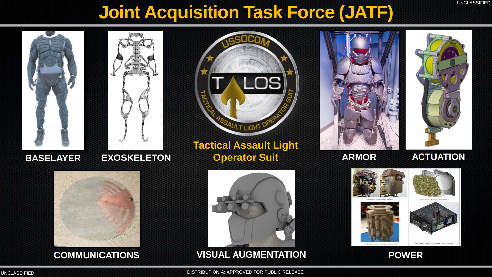# **Joint Acquisition Task Force (JATF)**







### **Tactical Assault Light BASELAYER EXOSKELETON Operator Suit ARMOR ACTUATION**



**ARMOR**





**VISUAL AUGMENTATION COMMUNICATIONS POWER**







DISTRIBUTION A: APPROVED FOR PUBLIC RELEASE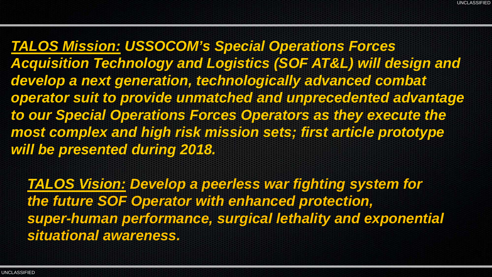*TALOS Mission: USSOCOM's Special Operations Forces Acquisition Technology and Logistics (SOF AT&L) will design and develop a next generation, technologically advanced combat operator suit to provide unmatched and unprecedented advantage to our Special Operations Forces Operators as they execute the most complex and high risk mission sets; first article prototype will be presented during 2018.*

*TALOS Vision: Develop a peerless war fighting system for the future SOF Operator with enhanced protection, super-human performance, surgical lethality and exponential situational awareness.*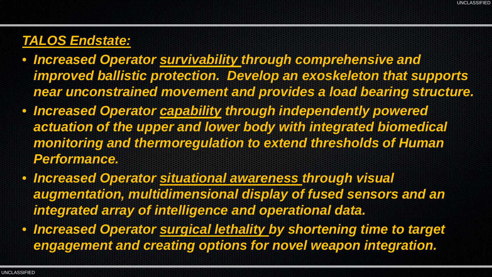## *TALOS Endstate:*

- *Increased Operator survivability through comprehensive and improved ballistic protection. Develop an exoskeleton that supports near unconstrained movement and provides a load bearing structure.*
- *Increased Operator capability through independently powered actuation of the upper and lower body with integrated biomedical monitoring and thermoregulation to extend thresholds of Human Performance.*
- *Increased Operator situational awareness through visual augmentation, multidimensional display of fused sensors and an integrated array of intelligence and operational data.*
- *Increased Operator surgical lethality by shortening time to target engagement and creating options for novel weapon integration.*